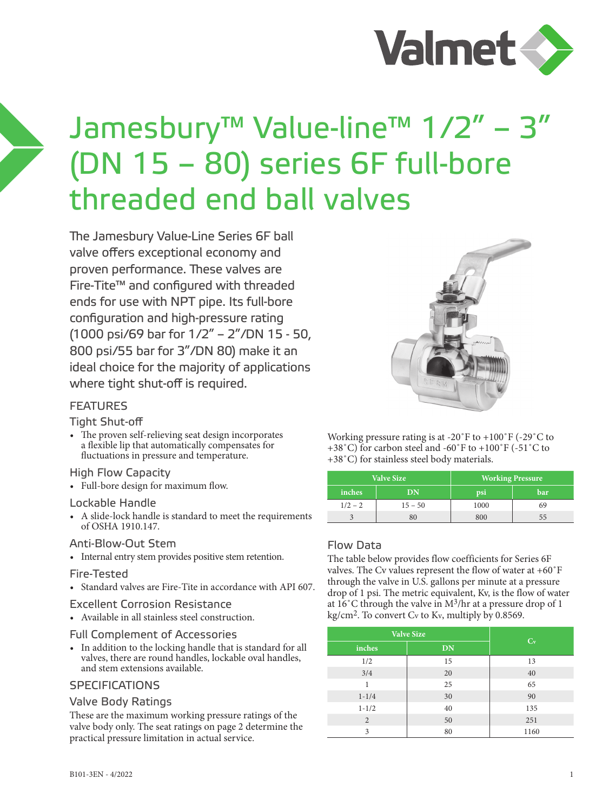

# Jamesbury™ Value-line™ 1/2" – 3" (DN 15 – 80) series 6F full-bore threaded end ball valves

The Jamesbury Value-Line Series 6F ball valve offers exceptional economy and proven performance. These valves are Fire-Tite™ and configured with threaded ends for use with NPT pipe. Its full-bore configuration and high-pressure rating (1000 psi/69 bar for 1/2" – 2"/DN 15 - 50, 800 psi/55 bar for 3"/DN 80) make it an ideal choice for the majority of applications where tight shut-off is required.

# **FFATURFS**

# Tight Shut-off

• The proven self-relieving seat design incorporates a flexible lip that automatically compensates for fluctuations in pressure and temperature.

#### High Flow Capacity

• Full-bore design for maximum flow.

#### Lockable Handle

• A slide-lock handle is standard to meet the requirements of OSHA 1910.147.

#### Anti-Blow-Out Stem

• Internal entry stem provides positive stem retention.

#### Fire-Tested

• Standard valves are Fire-Tite in accordance with API 607.

#### Excellent Corrosion Resistance

• Available in all stainless steel construction.

#### Full Complement of Accessories

• In addition to the locking handle that is standard for all valves, there are round handles, lockable oval handles, and stem extensions available.

# **SPECIFICATIONS**

# Valve Body Ratings

These are the maximum working pressure ratings of the valve body only. The seat ratings on page 2 determine the practical pressure limitation in actual service.



Working pressure rating is at -20˚F to +100˚F (-29˚C to +38˚C) for carbon steel and -60˚F to +100˚F (-51˚C to +38˚C) for stainless steel body materials.

|           | <b>Valve Size</b> | <b>Working Pressure</b> |     |  |  |
|-----------|-------------------|-------------------------|-----|--|--|
| inches    | DN                | psi                     | bar |  |  |
| $1/2 - 2$ | $15 - 50$         | 1000                    | 69  |  |  |
|           | 80                | 800                     | רר  |  |  |

# Flow Data

The table below provides flow coefficients for Series 6F valves. The Cv values represent the flow of water at +60˚F through the valve in U.S. gallons per minute at a pressure drop of 1 psi. The metric equivalent, Kv, is the flow of water at 16˚C through the valve in M3/hr at a pressure drop of 1 kg/cm2. To convert Cv to Kv, multiply by 0.8569.

| <b>Valve Size</b> | $C_v$     |      |
|-------------------|-----------|------|
| inches            | <b>DN</b> |      |
| 1/2               | 15        | 13   |
| 3/4               | 20        | 40   |
| 1                 | 25        | 65   |
| $1 - 1/4$         | 30        | 90   |
| $1 - 1/2$         | 40        | 135  |
| 2                 | 50        | 251  |
| 3                 | 80        | 1160 |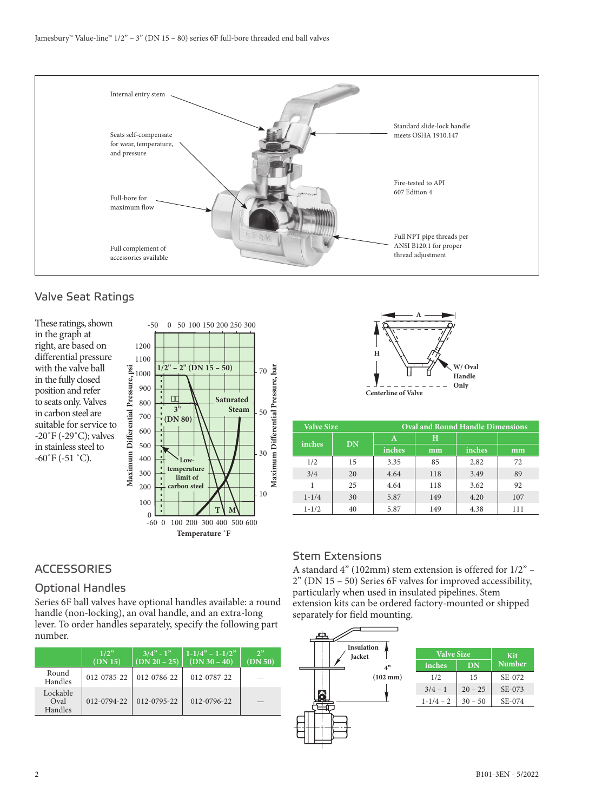

# Valve Seat Ratings

These ratings, shown in the graph at right, are based on differential pressure with the valve ball in the fully closed position and refer to seats only. Valves in carbon steel are suitable for service to -20˚F (-29˚C); valves in stainless steel to  $-60\degree$ F ( $-51\degree$ C).





| <b>Valve Size</b> |    | <b>Oval and Round Handle Dimensions</b> |     |        |     |  |  |
|-------------------|----|-----------------------------------------|-----|--------|-----|--|--|
| inches            | DN | A                                       | н   |        |     |  |  |
|                   |    | inches                                  | mm  | inches | mm  |  |  |
| 1/2               | 15 | 3.35                                    | 85  | 2.82   | 72  |  |  |
| 3/4               | 20 | 4.64                                    | 118 | 3.49   | 89  |  |  |
| 1                 | 25 | 4.64                                    | 118 | 3.62   | 92  |  |  |
| $1 - 1/4$         | 30 | 5.87                                    | 149 | 4.20   | 107 |  |  |
| $1 - 1/2$         | 40 | 5.87                                    | 149 | 4.38   | 111 |  |  |

# **ACCESSORIES**

# Optional Handles

Series 6F ball valves have optional handles available: a round handle (non-locking), an oval handle, and an extra-long lever. To order handles separately, specify the following part number.

|                             | 1/2"<br>(DN 15) | $\sqrt{3/4}$ - $1$ "<br>$(DN 20 - 25)$ | $1-1/4^{\prime\prime} - 1-1/2^{\prime\prime}$<br>$(DN 30 - 40)$ | 2 <sup>2</sup><br>(DN 50) |
|-----------------------------|-----------------|----------------------------------------|-----------------------------------------------------------------|---------------------------|
| Round<br>Handles            | 012-0785-22     | 012-0786-22                            | 012-0787-22                                                     |                           |
| Lockable<br>Oval<br>Handles | 012-0794-22     | 012-0795-22                            | 012-0796-22                                                     |                           |

# Stem Extensions

A standard 4" (102mm) stem extension is offered for 1/2" – 2" (DN 15 – 50) Series 6F valves for improved accessibility, particularly when used in insulated pipelines. Stem extension kits can be ordered factory-mounted or shipped separately for field mounting.

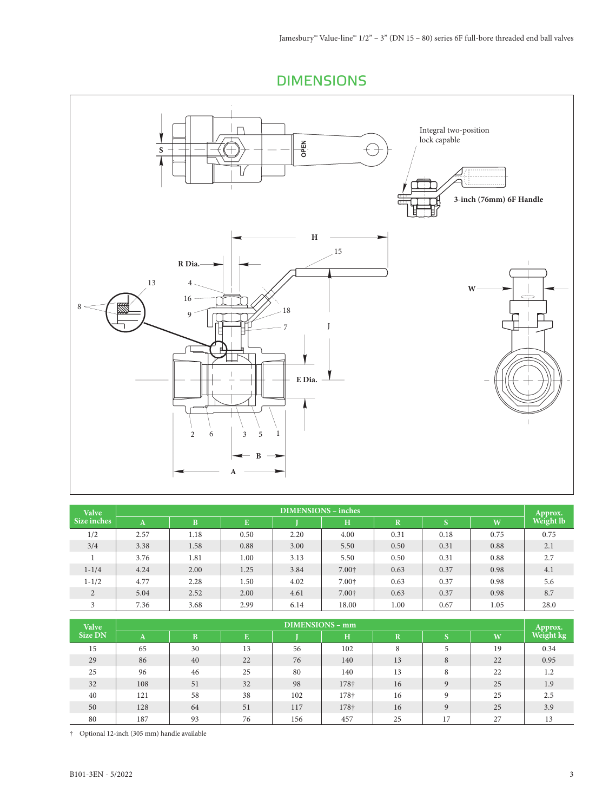DIMENSIONS



| <b>Valve</b>   | $\overline{DIMENSIONS}$ – inches |      |      |      |       |             |      |      |                      |  |
|----------------|----------------------------------|------|------|------|-------|-------------|------|------|----------------------|--|
| Size inches    | A                                | B    | E    |      | H     | $\mathbf R$ | S    | W    | Approx.<br>Weight lb |  |
| 1/2            | 2.57                             | 1.18 | 0.50 | 2.20 | 4.00  | 0.31        | 0.18 | 0.75 | 0.75                 |  |
| 3/4            | 3.38                             | 1.58 | 0.88 | 3.00 | 5.50  | 0.50        | 0.31 | 0.88 | 2.1                  |  |
|                | 3.76                             | 1.81 | 1.00 | 3.13 | 5.50  | 0.50        | 0.31 | 0.88 | 2.7                  |  |
| $1 - 1/4$      | 4.24                             | 2.00 | 1.25 | 3.84 | 7.00+ | 0.63        | 0.37 | 0.98 | 4.1                  |  |
| $1 - 1/2$      | 4.77                             | 2.28 | 1.50 | 4.02 | 7.00+ | 0.63        | 0.37 | 0.98 | 5.6                  |  |
| $\overline{2}$ | 5.04                             | 2.52 | 2.00 | 4.61 | 7.00+ | 0.63        | 0.37 | 0.98 | 8.7                  |  |
| 3              | 7.36                             | 3.68 | 2.99 | 6.14 | 18.00 | 1.00        | 0.67 | 1.05 | 28.0                 |  |

| <b>Valve</b>   | <b>DIMENSIONS - mm</b> |    |    |     |      |                         |              |    |           |
|----------------|------------------------|----|----|-----|------|-------------------------|--------------|----|-----------|
| <b>Size DN</b> | A                      | B  | E  |     | н    | $\overline{\mathbf{R}}$ | c            | W  | Weight kg |
| 15             | 65                     | 30 | 13 | 56  | 102  | 8                       | 5            | 19 | 0.34      |
| 29             | 86                     | 40 | 22 | 76  | 140  | 13                      | 8            | 22 | 0.95      |
| 25             | 96                     | 46 | 25 | 80  | 140  | 13                      | 8            | 22 | 1.2       |
| 32             | 108                    | 51 | 32 | 98  | 178† | 16                      | $\mathbf{Q}$ | 25 | 1.9       |
| 40             | 121                    | 58 | 38 | 102 | 178† | 16                      | $\mathbf{Q}$ | 25 | 2.5       |
| 50             | 128                    | 64 | 51 | 117 | 178† | 16                      | $\mathbf{Q}$ | 25 | 3.9       |
| 80             | 187                    | 93 | 76 | 156 | 457  | 25                      | 17           | 27 | 13        |

† Optional 12-inch (305 mm) handle available